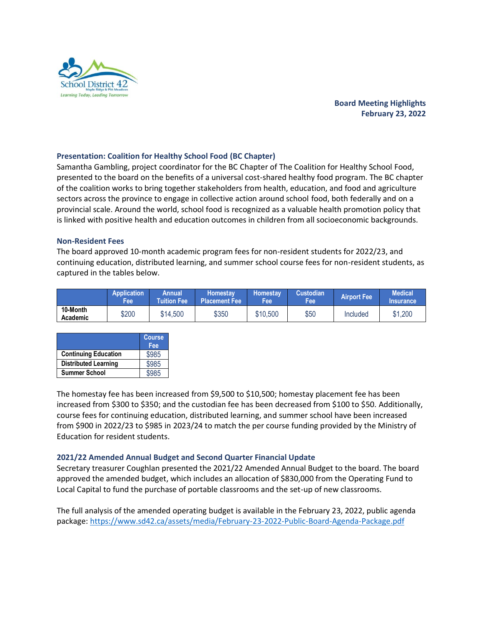

# **Board Meeting Highlights February 23, 2022**

## **Presentation: Coalition for Healthy School Food (BC Chapter)**

Samantha Gambling, project coordinator for the BC Chapter of The Coalition for Healthy School Food, presented to the board on the benefits of a universal cost-shared healthy food program. The BC chapter of the coalition works to bring together stakeholders from health, education, and food and agriculture sectors across the province to engage in collective action around school food, both federally and on a provincial scale. Around the world, school food is recognized as a valuable health promotion policy that is linked with positive health and education outcomes in children from all socioeconomic backgrounds.

### **Non-Resident Fees**

The board approved 10-month academic program fees for non-resident students for 2022/23, and continuing education, distributed learning, and summer school course fees for non-resident students, as captured in the tables below.

|                      | <b>Application</b><br>Fee\ | Annual<br><b>Tuition Fee</b> | Homestav.<br><b>Placement Fee</b> | <b>Homestav</b><br>Feel | <b>Custodian</b><br>Fee | <b>Airport Fee</b> | <b>Medical</b><br><b>Insurance</b> |
|----------------------|----------------------------|------------------------------|-----------------------------------|-------------------------|-------------------------|--------------------|------------------------------------|
| 10-Month<br>Academic | \$200                      | \$14,500                     | \$350                             | \$10,500                | \$50                    | Included           | \$1,200                            |

|                             | <b>Course</b><br>Fee |
|-----------------------------|----------------------|
| <b>Continuing Education</b> | \$985                |
| <b>Distributed Learning</b> | \$985                |
| <b>Summer School</b>        | \$985                |

The homestay fee has been increased from \$9,500 to \$10,500; homestay placement fee has been increased from \$300 to \$350; and the custodian fee has been decreased from \$100 to \$50. Additionally, course fees for continuing education, distributed learning, and summer school have been increased from \$900 in 2022/23 to \$985 in 2023/24 to match the per course funding provided by the Ministry of Education for resident students.

### **2021/22 Amended Annual Budget and Second Quarter Financial Update**

Secretary treasurer Coughlan presented the 2021/22 Amended Annual Budget to the board. The board approved the amended budget, which includes an allocation of \$830,000 from the Operating Fund to Local Capital to fund the purchase of portable classrooms and the set-up of new classrooms.

The full analysis of the amended operating budget is available in the February 23, 2022, public agenda package: [https://www.sd42.ca/assets/media/February-23-2022-Public-Board-Agenda-Package.pdf](https://www.sd42.ca/assets/media/February-23-2022-Public-Board-Agenda-Package.pdf#page=22)